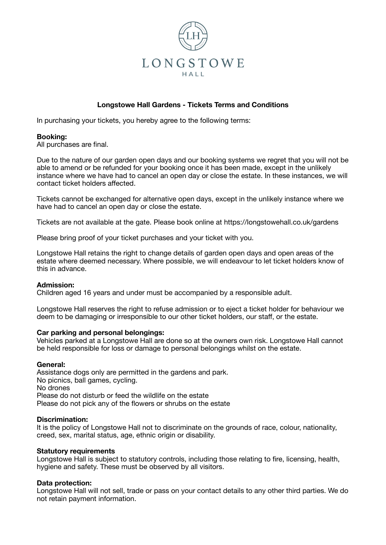

# **Longstowe Hall Gardens - Tickets Terms and Conditions**

In purchasing your tickets, you hereby agree to the following terms:

### **Booking:**

All purchases are final.

Due to the nature of our garden open days and our booking systems we regret that you will not be able to amend or be refunded for your booking once it has been made, except in the unlikely instance where we have had to cancel an open day or close the estate. In these instances, we will contact ticket holders affected.

Tickets cannot be exchanged for alternative open days, except in the unlikely instance where we have had to cancel an open day or close the estate.

Tickets are not available at the gate. Please book online at https://longstowehall.co.uk/gardens

Please bring proof of your ticket purchases and your ticket with you.

Longstowe Hall retains the right to change details of garden open days and open areas of the estate where deemed necessary. Where possible, we will endeavour to let ticket holders know of this in advance.

#### **Admission:**

Children aged 16 years and under must be accompanied by a responsible adult.

Longstowe Hall reserves the right to refuse admission or to eject a ticket holder for behaviour we deem to be damaging or irresponsible to our other ticket holders, our staff, or the estate.

### **Car parking and personal belongings:**

Vehicles parked at a Longstowe Hall are done so at the owners own risk. Longstowe Hall cannot be held responsible for loss or damage to personal belongings whilst on the estate.

### **General:**

Assistance dogs only are permitted in the gardens and park. No picnics, ball games, cycling. No drones Please do not disturb or feed the wildlife on the estate Please do not pick any of the flowers or shrubs on the estate

#### **Discrimination:**

It is the policy of Longstowe Hall not to discriminate on the grounds of race, colour, nationality, creed, sex, marital status, age, ethnic origin or disability.

#### **Statutory requirements**

Longstowe Hall is subject to statutory controls, including those relating to fire, licensing, health, hygiene and safety. These must be observed by all visitors.

### **Data protection:**

Longstowe Hall will not sell, trade or pass on your contact details to any other third parties. We do not retain payment information.